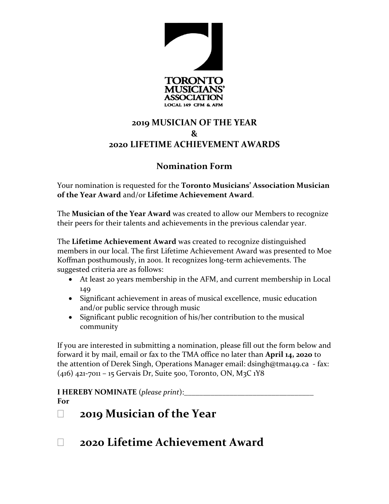

## **2019 MUSICIAN OF THE YEAR & 2020 LIFETIME ACHIEVEMENT AWARDS**

### **Nomination Form**

Your nomination is requested for the **Toronto Musicians' Association Musician of the Year Award** and/or **Lifetime Achievement Award**.

The **Musician of the Year Award** was created to allow our Members to recognize their peers for their talents and achievements in the previous calendar year.

The **Lifetime Achievement Award** was created to recognize distinguished members in our local. The first Lifetime Achievement Award was presented to Moe Koffman posthumously, in 2001. It recognizes long-term achievements. The suggested criteria are as follows:

- At least 20 years membership in the AFM, and current membership in Local 149
- Significant achievement in areas of musical excellence, music education and/or public service through music
- Significant public recognition of his/her contribution to the musical community

If you are interested in submitting a nomination, please fill out the form below and forward it by mail, email or fax to the TMA office no later than **April 14, 2020** to the attention of Derek Singh, Operations Manager email: dsingh@tma149.ca - fax: (416) 421-7011 – 15 Gervais Dr, Suite 500, Toronto, ON, M3C 1Y8

**I HEREBY NOMINATE** (*please print*):\_\_\_\_\_\_\_\_\_\_\_\_\_\_\_\_\_\_\_\_\_\_\_\_\_\_\_\_\_\_\_\_\_\_ **For** 

# **2019 Musician of the Year**

**2020 Lifetime Achievement Award**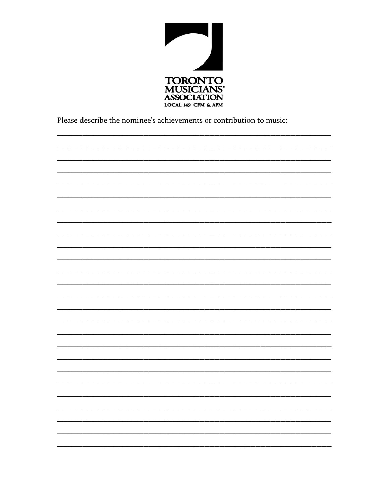

Please describe the nominee's achievements or contribution to music: